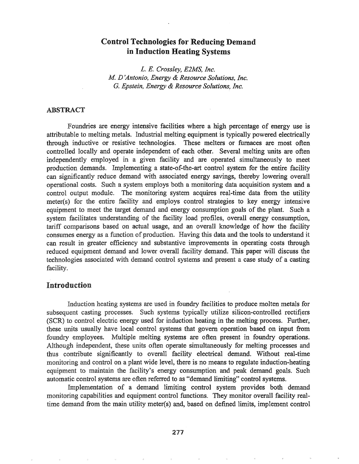# Control Technologies for Reducing Demand in Induction Heating Systems

*L. E. Crossley, ElMS, Inc. M D 'Antonio, Energy* & *Resource Solutions, Inc.* G. *Epstein, Energy* & *Resource Solutions, Inc.*

### ABSTRACT

Foundries are energy intensive facilities where a high percentage of energy use is attributable to melting metals. Industrial melting equipment is typically powered electrically through inductive or resistive technologies. These melters or furnaces are most often controlled locally and operate independent of each other. Several melting units are often independently employed in a given facility and are operated simultaneously to meet production demands. Implementing a state-of-the-art control system for the entire facility can significantly reduce demand with associated energy savings, thereby lowering overall operational costs. Such a system employs both a monitoring data acquisition system and a control output module. The monitoring system acquires real-time data from the utility meter(s) for the entire facility and employs control strategies to key energy intensive equipment to meet the target demand and energy consumption goals of the plant. Such a system facilitates understanding of the facility load profiles, overall energy consumption, tariff comparisons based on actual usage, and an overall knowledge of how the facility consumes energy as a function of production. Having this data and the tools to understand it can result in greater efficiency and substantive improvements in operating costs through reduced equipment demand and lower overall facility demand. This paper will discuss the technologies associated with demand control systems and present a case study of a casting facility.

## Introduction

Induction heating systems are used in foundry facilities to produce molten metals for subsequent casting processes. Such systems typically utilize silicon-controlled rectifiers (SCR) to control electric energy used for induction heating in the melting process. Further, these units usually have local control systems that govern operation based on input from foundry employees.. Multiple melting systems are often present in foundry operations. Although independent, these units often operate simultaneously for melting processes and thus contribute significantly to overall facility electrical demand.. Without real-time monitoring and control on a plant wide level, there is no means to regulate induction-heating equipment to maintain the facility's energy consumption and peak demand goals. Such automatic control systems are often referred to as "demand limiting" control systems.

Implementation of a demand limiting control system provides both demand monitoring capabilities and equipment control functions.. They monitor overall facility realtime demand from the main utility meter(s) and, based on defined limits, implement control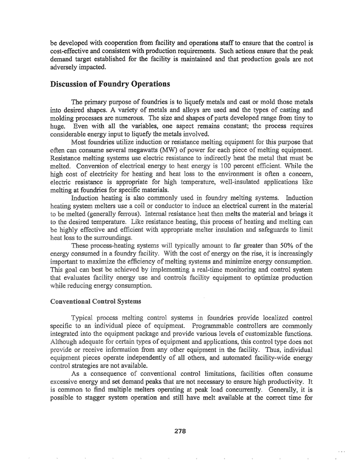be developed with cooperation from facility and operations staff to ensure that the control is cost-effective and consistent with production requirements. Such actions ensure that the peak demand target established for the facility is maintained and that production goals are not adversely impacted.

# Discussion of Foundry Operations

The primary purpose of foundries is to liquefy metals and cast or mold those metals into desired shapes. A variety of metals and alloys are used and the types of casting and molding processes are numerous. The size and shapes of parts developed range from tiny to huge. Even with all the variables, one aspect remains constant; the process requires considerable energy input to liquefy the metals involved.

Most foundries utilize induction or resistance melting equipment for this purpose that often can consume several megawatts (MW) of power for each piece of melting equipment. Resistance melting systems use electric resistance to indirectly heat the metal that must be melted. Conversion of electrical energy to heat energy is 100 percent efficient. While the high cost of electricity for heating and heat loss to the environment is often a concern, electric resistance is appropriate for high temperature, well-insulated applications like melting at foundries for specific materials.

Induction heating is also commonly used in foundry melting systems. Induction heating system melters use a coil or conductor to induce an electrical current in the material to be melted (generally ferrous). Internal resistance heat then melts the material and brings it to the desired temperature. Like resistance heating, this process of heating and melting can be highly effective and efficient with appropriate melter insulation and safeguards to limit heat loss to the surroundings.

These process-heating systems will typically amount to far greater than 50% of the energy consumed in a foundry facility. With the cost of energy on the rise, it is increasingly important to maximize the efficiency of melting systems and minimize energy consumption. This goal can best be achieved by implementing a real-time monitoring and control system that evaluates facility energy use and controls facility equipment to optimize production while reducing energy consumption.

#### **Conventional Control Systems**

Typical process melting control systems in foundries provide localized control specific to an individual piece of equipment. Programmable controllers are commonly integrated into the equipment package and provide various levels of customizable functions. Although adequate for certain types of equipment and applications, this control type does not provide or receive information from any other equipment in the facility. Thus, individual equipment pieces operate independently of all others, and automated facility-wide energy control strategies are not available.

As a consequence of conventional control limitations, facilities often consume excessive energy and set demand peaks that are not necessary to ensure high productivity. It is common to find multiple melters operating at peak load concurrently. Generally, it is possible to stagger system operation and still have melt available at the correct time for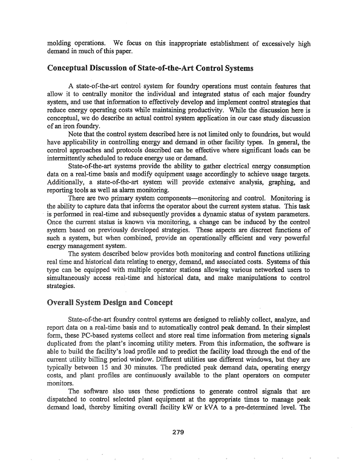molding operations. We focus on this inappropriate establishment of excessively high demand in much of this paper.

# Conceptual Discussion of State-of-the-Art Control Systems

A state-of-the-art control system for foundry operations must contain features that allow it to centrally monitor the individual and integrated status of each major foundry system, and use that information to effectively develop and implement control strategies that reduce energy operating costs while maintaining productivity. While the discussion here is conceptual, we do describe an actual control system application in our case study discussion of an iron foundry.

Note that the control system described here is not limited only to foundries, but would have applicability in controlling energy and demand in other facility types. In general, the control approaches and protocols described can be effective where significant loads can be intermittently scheduled to reduce energy use or demand.

State-of-the-art systems provide the ability to gather electrical energy consumption data on a real-time basis and modify equipment usage accordingly to achieve usage targets. Additionally, a state-of-the-art system will provide extensive analysis, graphing, and reporting tools as well as alarm monitoring.

There are two primary system components—monitoring and control. Monitoring is the ability to capture data that infonns the operator about the current system status," This task is performed in real-time and subsequently provides a dynamic status of system parameters. Once the current status is known via monitoring, a change can be induced by the control system based on previously developed strategies. These aspects are discreet functions of such a system, but when combined, provide an operationally efficient and very powerful energy management system.

The system described below provides both monitoring and control functions utilizing real time and historical data relating to energy, demand, and associated costs. Systems of this type can be equipped with multiple operator stations allowing various networked users to simultaneously access real-time and historical data, and make manipulations to control strategies.

### Overall System Design and Concept

State-of-the-art foundry control systems are designed to reliably collect, analyze, and report data on a real-time basis and to automatically control peak demand. In their simplest form, these PC-based systems collect and store real time information from metering signals duplicated from the plant's incoming utility meters. From this information, the software is able to build the facility's load profile and to predict the facility load through the end of the current utility billing period window. Different utilities use different windows, but they are typically between 15 and 30 minutes. The predicted peak demand data, operating energy costs, and plant profiles are continuously available to the plant operators on computer monitors.

The software also uses these predictions to generate control signals that are dispatched to control selected plant equipment at the appropriate times to manage peak demand load, thereby limiting overall facility kW or kVA to a pre-determined level. The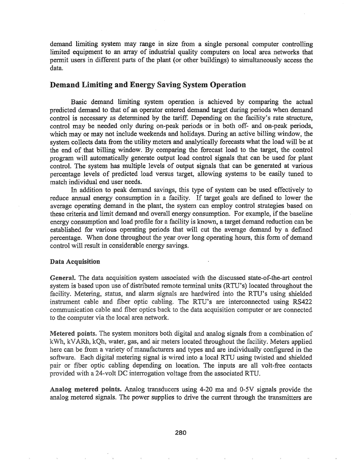demand limiting system may range in size from a single personal computer controlling limited equipment to an array of industrial quality computers on local area networks that permit users in different parts of the plant (or other buildings) to simultaneously access the data.

## Demand Limiting and Energy Saving System Operation

Basic demand limiting system operation is achieved by comparing the actual predicted demand to that of an operator entered demand target during periods when demand control is necessary as determined by the tariff. Depending on the facility's rate structure, control may be needed only during on-peak periods or in both off- and on-peak periods, which may or may not include weekends and holidays. During an active billing window, the system collects data from the utility meters and analytically forecasts what the load will be at the end of that billing window. By comparing the forecast load to the target, the control program will automatically generate output load control signals that can be used for plant control. The system has multiple levels of output signals that can be generated at various percentage levels of predicted load versus target, allowing systems to be easily tuned to match individual end user needs.

In addition to peak demand savings, this type of system can be used effectively to reduce annual energy consumption in a facility. If target goals are defined to lower the average operating demand in the plant, the system can employ control strategies based on these criteria and limit demand and overall energy consumption. For example, if the baseline energy consumption and load profile for a facility is known, a target demand reduction can be established for various operating periods that will cut the average demand by a defined percentage. When done throughout the year over long operating hours, this form of demand control will result in considerable energy savings.

#### Data Acquisition

to the computer via the local area network. General. The data acquisition system associated with the discussed state-of-the-art control system is based upon use of distributed remote terminal units (RTU's) located throughout the facility. Metering, status, and alarm signals are hardwired into the RTU's using shielded instrument cable and fiber optic cabling. The RTU's are interconnected using RS422 communication cable and fiber optics back to the data acquisition computer or are connected

Metered points. The system monitors both digital and analog signals from a combination of kWh, kVARh, kQh, water, gas, and air meters located throughout the facility. Meters applied here can be from a variety of manufacturers and types and are individually configured in the software. Each digital metering signal is wired into a local RTU using twisted and shielded pair or fiber optic cabling depending on location. The inputs are all volt-free contacts provided with a 24-volt DC interrogation voltage from the associated RTU.

Analog metered points. Analog transducers using 4-20 ma and 0-5V signals provide the analog metered signals. The power supplies to drive the current through the transmitters are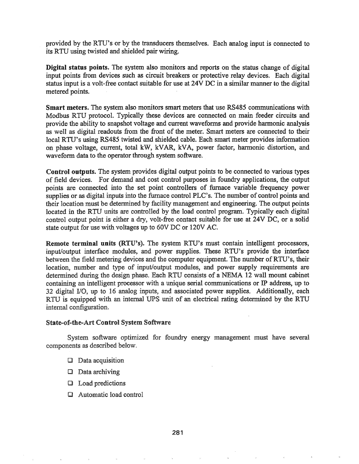provided by the RTU's or by the transducers themselves. Each analog input is connected to its RTU using twisted and shielded pair wiring.

Digital status points. The system also monitors and reports on the status change of digital input points from devices such as circuit breakers or protective relay devices. Each digital status input is a volt-free contact suitable for use at 24V DC in a similar manner to the digital metered points.

Smart meters. The system also monitors smart meters that use RS485 communications with Modbus RTU protocol. Typically these devices are connected on main feeder circuits and provide the ability to snapshot voltage and current wavefonns and provide harmonic analysis as well as digital readouts from the front of the meter. Smart meters are connected to their local RTU's using RS485 twisted and shielded cable. Each smart meter provides information on phase voltage, current, total kW, kVAR, kVA, power factor, harmonic distortion, and waveform data to the operator through system software.

Control outputs~ The system provides digital output points to be connected to various types of field devices. For demand and cost control purposes in foundry applications, the output points are connected into the set point controllers of furnace variable frequency power supplies or as digital inputs into the furnace control PLC's. The number of control points and their location must be determined by facility management and engineering. The output points located in the RTU units are controlled by the load control program.. Typically each digital control output point is either a dry, volt-free contact suitable for use at 24V DC, or a solid state output for use with voltages up to 60V DC or 120V AC.

Remote terminal units (RTU's). The system RTU's must contain intelligent processors, input/output interface modules, and power supplies. These RTU's provide the interface between the field metering devices and the computer equipment. The number of RTU's, their location, number and type of input/output modules, and power supply requirements are determined during the design phase. Each RTU consists of a NEMA 12 wall mount cabinet containing an intelligent processor with a unique serial communications or IP address, up to 32 digital I/O, up to 16 analog inputs, and associated power supplies. Additionally, each RTU is equipped with an internal UPS unit of an electrical rating detennined by the RTU internal configuration.

#### State-of-the-Art Control System Software

System software optimized for foundry energy management must have several components as described below.

- $\Box$  Data acquisition
- $\Box$  Data archiving
- Load predictions
- Automatic load control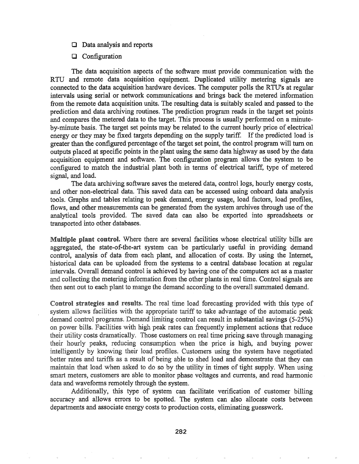- CJ Data analysis and reports
- [J Configuration

The data acquisition aspects of the software must provide communication with the RTU and remote data acquisition equipment. Duplicated utility metering signals are connected to the data acquisition hardware devices. The computer polls the RTU's at regular intervals using serial or network communications and brings back the metered information from the remote data acquisition units. The resulting data is suitably scaled and passed to the prediction and data archiving routines. The prediction program reads in the target set points and compares the metered data to the target. This process is usually performed on a minuteby-minute basis. The target set points may be related to the current hourly price of electrical energy or they may be fixed targets depending on the supply tariff. If the predicted load is greater than the configured percentage of the target set point, the control program will turn on outputs placed at specific points in the plant using the same data highway as used by the data acquisition equipment and software. The configuration program allows the system to be configured to match the industrial plant both in terms of electrical tariff, type of metered signal, and load..

The data archiving software saves the metered data, control logs, hourly energy costs, and other non-electrical data. This saved data can be accessed using onboard data analysis tools. Graphs and tables relating to peak demand, energy usage, load factors, load profiles, flows, and other measurements can be generated from the system archives through use of the analytical tools provided. The saved data can also be exported into spreadsheets or transported into other databases..

Multiple plant control. Where there are several facilities whose electrical utility bills are aggregated, the state-of-the-art system can be particularly useful in providing demand control, analysis of data from each plant, and allocation of costs. By using the Internet, historical data can be uploaded from the systems to a central database location at regular intervals. Overall demand control is achieved by having one of the computers act as a master and collecting the metering information from the other plants in real time. Control signals are then sent out to each plant to mange the demand according to the overall summated demand.

Control strategies and results. The real time load forecasting provided with this type of system allows facilities with the appropriate tariff to take advantage of the automatic peak demand control programs. Demand limiting control can result in substantial savings (5-25%) on power bills. Facilities with high peak rates can frequently implement actions that reduce their utility costs dramatically. Those customers on real time pricing save through managing their hourly peaks, reducing consumption when the price is high, and buying power intelligently by knowing their load profiles. Customers using the system have negotiated better rates and tariffs as a result of being able to shed load and demonstrate that they can maintain that load when asked to do so by the utility in times of tight supply. When using smart meters, customers are able to monitor phase voltages and currents, and read harmonic data and waveforms remotely through the system.

Additionally, this type of system can facilitate verification of customer billing accuracy and allows errors to be spotted.. The system can also allocate costs between departments and associate energy costs to production costs, eliminating guesswork.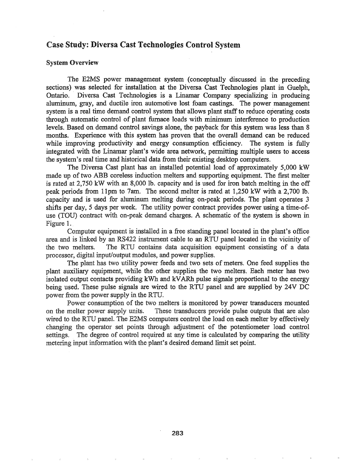## Case Study: Diversa Cast Technologies Control System

#### System Overview

The E2MS power management system (conceptually discussed in the preceding sections) was selected for installation at the Diversa Cast Technologies plant in Guelph, Ontario. Diversa Cast Technologies is a Linamar Company specializing in producing aluminum, gray, and ductile iron automotive lost foam castings. The power management system is a real time demand control system that allows plant staff to reduce operating costs through automatic control of plant furnace loads with minimum interference to production levels. Based on demand control savings alone, the payback for this system was less than 8 months. Experience with this system has proven that the overall demand can be reduced while improving productivity and energy consumption efficiency. The system is fully integrated with the Linamar plant's wide area network, permitting multiple users to access the system's real time and historical-data from their existing desktop computers..

The Diversa Cast plant has an installed potential load of approximately 5,000 kW made up of two ABB coreless induction melters and supporting equipment. The first melter is rated at 2,750 kW with an 8,000 lb. capacity and is used for iron batch melting in the off peak periods from 11pm to 7am. The second melter is rated at  $1,250$  kW with a  $2,700$  lb. capacity and is used for aluminum melting during on-peak periods. The plant operates 3 shifts per day, 5 days per week. The utility power contract provides power using a time-ofuse (TOU) contract with on-peak demand charges. A schematic of the system is shown in Figure 1.

Computer equipment is installed in a free standing panel located in the plant's office area and is linked by an RS422 instrument cable to an RTU panel located in the vicinity of the two melters. The RTU contains data acquisition equipment consisting of a data processor, digital input/output modules, and power supplies.

The plant has two utility power feeds and two sets of meters. One feed supplies the plant auxiliary equipment, while the other supplies the two melters. Each meter has two isolated output contacts providing kWh and kVARh pulse signals proportional to the energy being used. These pulse signals are wired to the RTU panel and are supplied by 24V DC power from the power supply in the RTU.

Power consumption of the two melters is monitored by power transducers mounted on the melter power supply units. These transducers provide pulse outputs that are also wired to the RTU panel. The E2MS computers control the load on each melter by effectively changing the operator set points through adjustment of the potentiometer load control settings. The degree of control required at any time is calculated by comparing the utility metering input information with the plant's desired demand limit set point.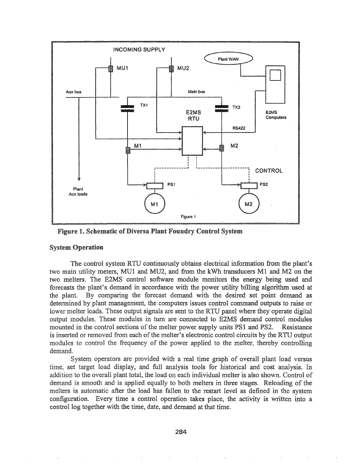

Figure 1. Schematic of Diversa Plant Foundry Control System

#### System Operation

The control systemRTU continuously obtains electrical information from the plant's two main utility meters, MUt and MU2, and from the kWh transducers Ml and M2 on the two melters. The E2MS control software module monitors the energy being used and forecasts the plant's demand in accordance with the power utility billing algorithm used at the plant. By comparing the forecast demand with the desired set point demand as determined by plant management, the computers issues control command outputs to raise or the lower melter loads. These output signals are sent to the RTU panel where they operate digital output modules. These modules in turn are connected to E2MS demand control modules mounted in the control sections of the melter power supply units PS1 and PS2. Resistance is inserted or removed from each of the melter's electronic control circuits by the RTU output modules to control the frequency of the power applied to the melter, thereby controlling demand.

System operators are provided with a real time graph of overall plant load versus time, set target load display, and full analysis tools for historical and cost analysis. In addition to the overall plant total, the load on each individual melter is also shown. Control of demand is smooth and is applied equally to both melters in three stages. Reloading of the melters is automatic after the load has fallen to the restart level as defined in the system configuration. Every time a control operation takes place, the activity is written into a control log together with the time, date, and demand at that time.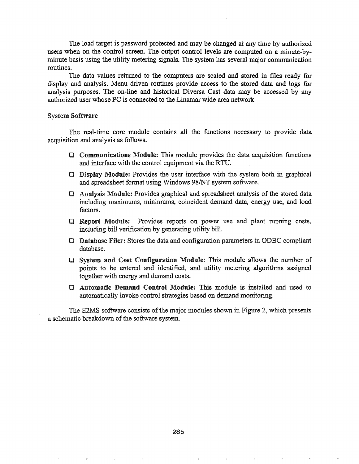The load target is password protected and may be changed at any time by authorized users when on the control screen. The output control levels are computed on a minute-byminute basis using the utility metering signals. The system has several major communication routines.

The data values returned to the computers are scaled and stored in files ready for display and analysis. Menu driven routines provide access to the stored data and logs for analysis purposes. The on-line and historical Diversa Cast data may be accessed by any authorized user whose PC is connected to the Linamar wide area network

#### System Software

The real-time core module contains all the functions necessary to provide data acquisition and analysis as follows.

- $\Box$  Communications Module: This module provides the data acquisition functions and interface with the control equipment via the RTU.
- $\Box$  Display Module: Provides the user interface with the system both in graphical and spreadsheet fonnat using Windows 98/NT system software.
- $\Box$  Analysis Module: Provides graphical and spreadsheet analysis of the stored data including maximums, minimums, coincident demand data, energy use, and load factors.
- Report Module: Provides reports on power use and plant running costs, including bill verification by generating utility bilL
- $\Box$  **Database Filer:** Stores the data and configuration parameters in ODBC compliant database.
- $\Box$  System and Cost Configuration Module: This module allows the number of points to be entered and identified, and utility metering algorithms assigned together with energy and demand costs.
- **Q Automatic Demand Control Module:** This module is installed and used to automatically invoke control strategies based' on demand monitoring..

The E2MS software consists of the major modules shown in Figure 2, which presents a schematic breakdown of the software system.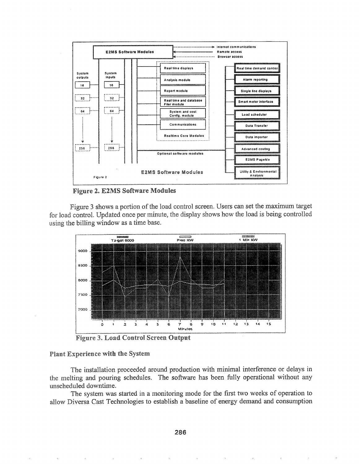

**Figure 2. E2MS Software Modules** 

Figure 3 shows a portion of the load control screen. Users can set the maximum target for load control. Updated once per minute, the display shows how the load is being controlled using the billing window as a time base.



**Figure 3. Load Control Screen Output** 

#### **Plant Experience with the System**

The installation proceeded around production with minimal interference or delays in the melting and pouring schedules. The software has been fully operational without any unscheduled downtime.

The system was started in a monitoring mode for the first two weeks of operation to allow Diversa Cast Technologies to establish a baseline of energy demand and consumption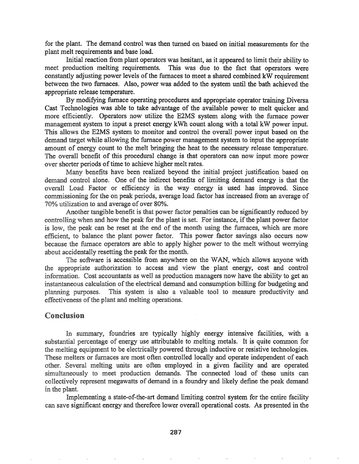for the plant. The demand control was then turned on based on initial measurements for the plant melt requirements and base load.

Initial reaction from plant operators was hesitant, as it appeared to limit their ability to meet production melting requirements. This was due to the fact that operators were constantly adjusting power levels of the furnaces to meet a shared combined kW requirement between the two furnaces. Also, power was added to the system until the bath achieved the appropriate release temperature.

By modifying furnace operating procedures and appropriate operator training Diversa Cast Technologies was able to take advantage of the available power to melt quicker and more efficiently. Operators now utilize the E2MS system along with the furnace power management system to input a preset energy kWh count along with a total kW power input. This allows the E2MS system to monitor and control the overall power input based on the demand target while allowing the furnace power management system to input the appropriate amount of energy count to the melt bringing the heat to the necessary release temperature. The overall benefit of this procedural change is that operators can now input more power over shorter periods of time to achieve higher melt rates.

Many benefits have been realized beyond the initial project justification based on demand control alone. One of the indirect benefits of limiting demand energy is that the overall Load Factor or efficiency in the way energy is used has improved. Since commissioning for the on peak periods, average load factor has increased from an average of 70% utilization to and average of over 80%.

Another tangible benefit is that power factor penalties can be significantly reduced by controlling when and how the peak for the plant is set. For instance, if the plant power factor is low, the peak can be reset at the end of the month using the furnaces, which are more efficient, to balance the plant power factor. This power factor savings also occurs now because the furnace operators are able to apply higher power to the melt without worrying about accidentally resetting the peak for the month.

The software is accessible from anywhere on the WAN, which allows anyone with the appropriate authorization to access and view the plant energy, cost and control information. Cost accountants as well as production managers now have the ability to get an instantaneous calculation of the electrical demand and consumption billing for budgeting and planning purposes. This system is also a valuable tool to measure productivity and effectiveness of the plant and melting operations.

## Conclusion

In summary, foundries are typically highly energy intensive facilities, with a substantial percentage of energy use attributable to melting metals. It is quite common for the melting equipment to be electrically powered through inductive or resistive technologies. These melters or furnaces are most often controlled locally and operate independent of each other. Several melting units are often employed in a given facility and are operated simultaneously to meet production demands. The connected load of these units can collectively represent megawatts of demand in a foundry and likely define the peak demand in the plant.

Implementing a state-of-the-art demand limiting control system for the entire facility can save significant energy and therefore lower overall operational costs. As presented in the